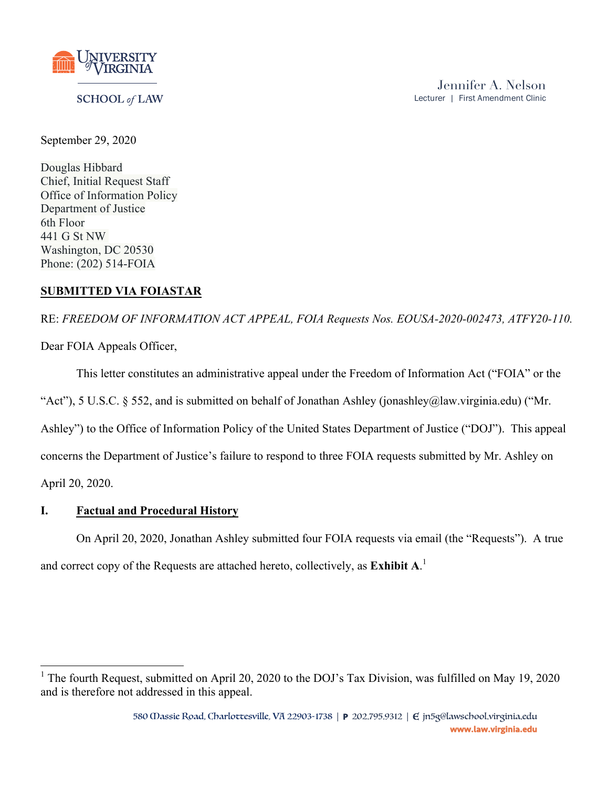

### **SCHOOL** of LAW

September 29, 2020

Douglas Hibbard Chief, Initial Request Staff Office of Information Policy Department of Justice 6th Floor 441 G St NW Washington, DC 20530 Phone: (202) 514-FOIA

# **SUBMITTED VIA FOIASTAR**

RE: *FREEDOM OF INFORMATION ACT APPEAL, FOIA Requests Nos. EOUSA-2020-002473, ATFY20-110.*

Dear FOIA Appeals Officer,

This letter constitutes an administrative appeal under the Freedom of Information Act ("FOIA" or the

"Act"), 5 U.S.C. § 552, and is submitted on behalf of Jonathan Ashley (jonashley@law.virginia.edu) ("Mr.

Ashley") to the Office of Information Policy of the United States Department of Justice ("DOJ"). This appeal

concerns the Department of Justice's failure to respond to three FOIA requests submitted by Mr. Ashley on

April 20, 2020.

# **I. Factual and Procedural History**

On April 20, 2020, Jonathan Ashley submitted four FOIA requests via email (the "Requests"). A true and correct copy of the Requests are attached hereto, collectively, as **Exhibit A**. 1

<sup>&</sup>lt;sup>1</sup> The fourth Request, submitted on April 20, 2020 to the DOJ's Tax Division, was fulfilled on May 19, 2020 and is therefore not addressed in this appeal.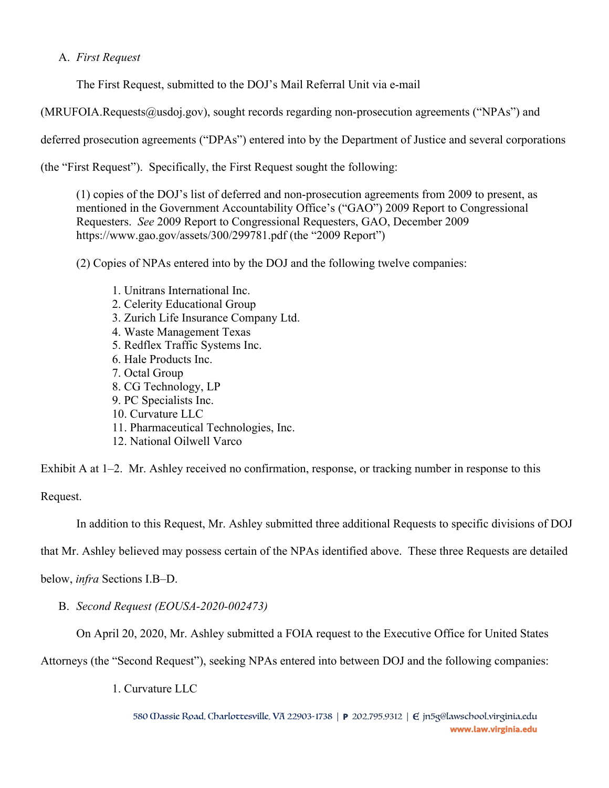## A. *First Request*

The First Request, submitted to the DOJ's Mail Referral Unit via e-mail

(MRUFOIA.Requests@usdoj.gov), sought records regarding non-prosecution agreements ("NPAs") and

deferred prosecution agreements ("DPAs") entered into by the Department of Justice and several corporations

(the "First Request"). Specifically, the First Request sought the following:

(1) copies of the DOJ's list of deferred and non-prosecution agreements from 2009 to present, as mentioned in the Government Accountability Office's ("GAO") 2009 Report to Congressional Requesters. *See* 2009 Report to Congressional Requesters, GAO, December 2009 https://www.gao.gov/assets/300/299781.pdf (the "2009 Report")

(2) Copies of NPAs entered into by the DOJ and the following twelve companies:

- 1. Unitrans International Inc.
- 2. Celerity Educational Group
- 3. Zurich Life Insurance Company Ltd.
- 4. Waste Management Texas
- 5. Redflex Traffic Systems Inc.
- 6. Hale Products Inc.
- 7. Octal Group
- 8. CG Technology, LP
- 9. PC Specialists Inc.
- 10. Curvature LLC
- 11. Pharmaceutical Technologies, Inc.
- 12. National Oilwell Varco

Exhibit A at 1–2. Mr. Ashley received no confirmation, response, or tracking number in response to this Request.

In addition to this Request, Mr. Ashley submitted three additional Requests to specific divisions of DOJ

that Mr. Ashley believed may possess certain of the NPAs identified above. These three Requests are detailed

below, *infra* Sections I.B–D.

B. *Second Request (EOUSA-2020-002473)*

On April 20, 2020, Mr. Ashley submitted a FOIA request to the Executive Office for United States

Attorneys (the "Second Request"), seeking NPAs entered into between DOJ and the following companies:

1. Curvature LLC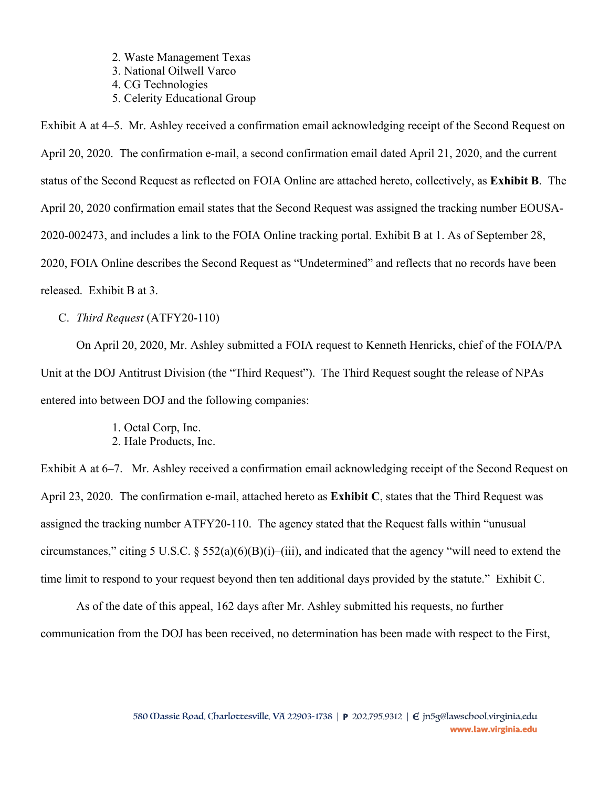2. Waste Management Texas

3. National Oilwell Varco

- 4. CG Technologies
- 5. Celerity Educational Group

Exhibit A at 4–5. Mr. Ashley received a confirmation email acknowledging receipt of the Second Request on April 20, 2020. The confirmation e-mail, a second confirmation email dated April 21, 2020, and the current status of the Second Request as reflected on FOIA Online are attached hereto, collectively, as **Exhibit B**. The April 20, 2020 confirmation email states that the Second Request was assigned the tracking number EOUSA-2020-002473, and includes a link to the FOIA Online tracking portal. Exhibit B at 1. As of September 28, 2020, FOIA Online describes the Second Request as "Undetermined" and reflects that no records have been released. Exhibit B at 3.

C. *Third Request* (ATFY20-110)

On April 20, 2020, Mr. Ashley submitted a FOIA request to Kenneth Henricks, chief of the FOIA/PA Unit at the DOJ Antitrust Division (the "Third Request"). The Third Request sought the release of NPAs entered into between DOJ and the following companies:

> 1. Octal Corp, Inc. 2. Hale Products, Inc.

Exhibit A at 6–7. Mr. Ashley received a confirmation email acknowledging receipt of the Second Request on April 23, 2020. The confirmation e-mail, attached hereto as **Exhibit C**, states that the Third Request was assigned the tracking number ATFY20-110. The agency stated that the Request falls within "unusual circumstances," citing 5 U.S.C. § 552(a)(6)(B)(i)–(iii), and indicated that the agency "will need to extend the time limit to respond to your request beyond then ten additional days provided by the statute." Exhibit C.

As of the date of this appeal, 162 days after Mr. Ashley submitted his requests, no further communication from the DOJ has been received, no determination has been made with respect to the First,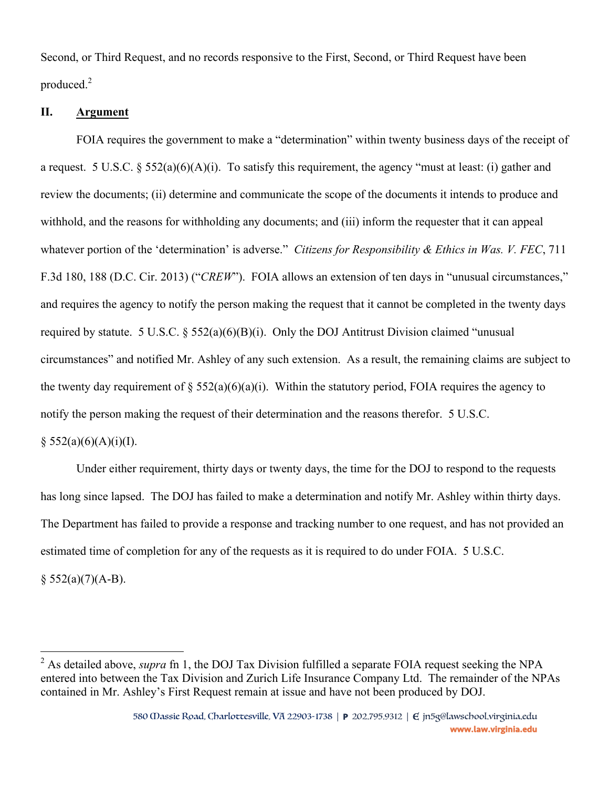Second, or Third Request, and no records responsive to the First, Second, or Third Request have been produced.<sup>2</sup>

#### **II. Argument**

FOIA requires the government to make a "determination" within twenty business days of the receipt of a request. 5 U.S.C. § 552(a)(6)(A)(i). To satisfy this requirement, the agency "must at least: (i) gather and review the documents; (ii) determine and communicate the scope of the documents it intends to produce and withhold, and the reasons for withholding any documents; and (iii) inform the requester that it can appeal whatever portion of the 'determination' is adverse." *Citizens for Responsibility & Ethics in Was. V. FEC*, 711 F.3d 180, 188 (D.C. Cir. 2013) ("*CREW*"). FOIA allows an extension of ten days in "unusual circumstances," and requires the agency to notify the person making the request that it cannot be completed in the twenty days required by statute. 5 U.S.C.  $\S$  552(a)(6)(B)(i). Only the DOJ Antitrust Division claimed "unusual circumstances" and notified Mr. Ashley of any such extension. As a result, the remaining claims are subject to the twenty day requirement of  $\S 552(a)(6)(a)(i)$ . Within the statutory period, FOIA requires the agency to notify the person making the request of their determination and the reasons therefor. 5 U.S.C.

### $§ 552(a)(6)(A)(i)(I).$

Under either requirement, thirty days or twenty days, the time for the DOJ to respond to the requests has long since lapsed. The DOJ has failed to make a determination and notify Mr. Ashley within thirty days. The Department has failed to provide a response and tracking number to one request, and has not provided an estimated time of completion for any of the requests as it is required to do under FOIA. 5 U.S.C.

 $§ 552(a)(7)(A-B).$ 

<sup>&</sup>lt;sup>2</sup> As detailed above, *supra* fn 1, the DOJ Tax Division fulfilled a separate FOIA request seeking the NPA entered into between the Tax Division and Zurich Life Insurance Company Ltd. The remainder of the NPAs contained in Mr. Ashley's First Request remain at issue and have not been produced by DOJ.